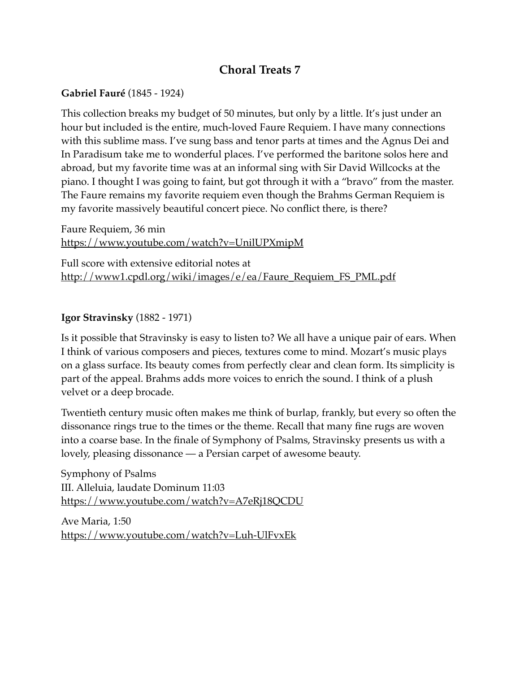## **Choral Treats 7**

## **Gabriel Fauré** (1845 - 1924)

This collection breaks my budget of 50 minutes, but only by a little. It's just under an hour but included is the entire, much-loved Faure Requiem. I have many connections with this sublime mass. I've sung bass and tenor parts at times and the Agnus Dei and In Paradisum take me to wonderful places. I've performed the baritone solos here and abroad, but my favorite time was at an informal sing with Sir David Willcocks at the piano. I thought I was going to faint, but got through it with a "bravo" from the master. The Faure remains my favorite requiem even though the Brahms German Requiem is my favorite massively beautiful concert piece. No conflict there, is there?

Faure Requiem, 36 min <https://www.youtube.com/watch?v=UnilUPXmipM>

Full score with extensive editorial notes at [http://www1.cpdl.org/wiki/images/e/ea/Faure\\_Requiem\\_FS\\_PML.pdf](http://www1.cpdl.org/wiki/images/e/ea/Faure_Requiem_FS_PML.pdf)

## **Igor Stravinsky** (1882 - 1971)

Is it possible that Stravinsky is easy to listen to? We all have a unique pair of ears. When I think of various composers and pieces, textures come to mind. Mozart's music plays on a glass surface. Its beauty comes from perfectly clear and clean form. Its simplicity is part of the appeal. Brahms adds more voices to enrich the sound. I think of a plush velvet or a deep brocade.

Twentieth century music often makes me think of burlap, frankly, but every so often the dissonance rings true to the times or the theme. Recall that many fine rugs are woven into a coarse base. In the finale of Symphony of Psalms, Stravinsky presents us with a lovely, pleasing dissonance — a Persian carpet of awesome beauty.

Symphony of Psalms III. Alleluia, laudate Dominum 11:03 <https://www.youtube.com/watch?v=A7eRj18QCDU>

Ave Maria, 1:50 <https://www.youtube.com/watch?v=Luh-UlFvxEk>